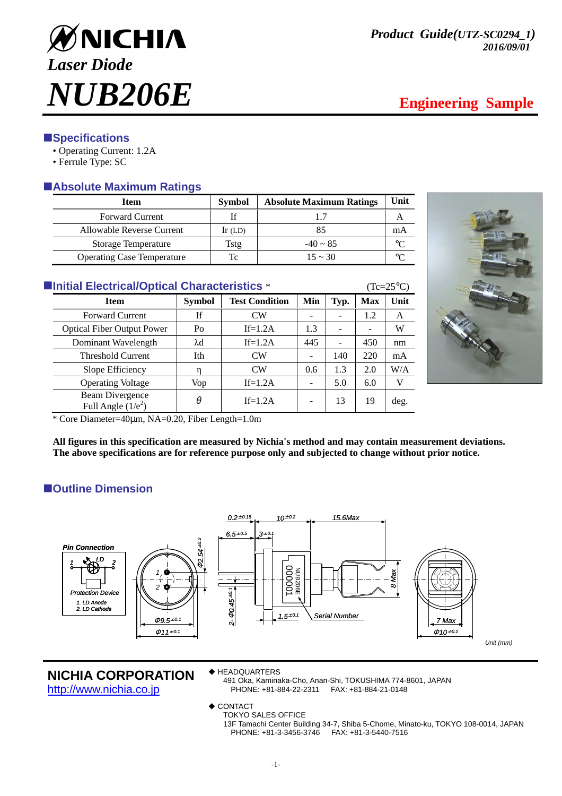

# **ESpecifications**

- Operating Current: 1.2A
- Ferrule Type: SC

# -**Absolute Maximum Ratings**

| <b>Item</b>                       | <b>Symbol</b> | <b>Absolute Maximum Ratings</b> | Unit    |
|-----------------------------------|---------------|---------------------------------|---------|
| <b>Forward Current</b>            |               |                                 |         |
| Allowable Reverse Current         | $Ir$ (LD)     | 85                              | mA      |
| <b>Storage Temperature</b>        | Tstg          | $-40 \sim 85$                   | $\circ$ |
| <b>Operating Case Temperature</b> | Tc            | $15 \approx 30$                 | $\circ$ |

| ■Initial Electrical/Optical Characteristics * |  | $(Tc=25^{\circ}C)$ |
|-----------------------------------------------|--|--------------------|
|-----------------------------------------------|--|--------------------|

| <b>Item</b>                             | <b>Symbol</b> | <b>Test Condition</b> | Min | Typ. | <b>Max</b> | Unit |
|-----------------------------------------|---------------|-----------------------|-----|------|------------|------|
| <b>Forward Current</b>                  | Īf            | $\rm CW$              |     | -    | 1.2        | A    |
| <b>Optical Fiber Output Power</b>       | Po            | $If=1.2A$             | 1.3 |      |            | W    |
| Dominant Wavelength                     | λd            | $If=1.2A$             | 445 | ۰    | 450        | nm   |
| <b>Threshold Current</b>                | Ith           | CW                    |     | 140  | 220        | mA   |
| Slope Efficiency                        | n             | CW                    | 0.6 | 1.3  | 2.0        | W/A  |
| <b>Operating Voltage</b>                | Vop           | $If=1.2A$             |     | 5.0  | 6.0        |      |
| Beam Divergence<br>Full Angle $(1/e^2)$ | θ             | $If=1.2A$             |     | 13   | 19         | deg. |



\* Core Diameter=40µm, NA=0.20, Fiber Length=1.0m

**All figures in this specification are measured by Nichia's method and may contain measurement deviations. The above specifications are for reference purpose only and subjected to change without prior notice.** 

# $\blacksquare$  Outline Dimension



## **NICHIA CORPORATION**

http://www.nichia.co.jp

◆ HEADQUARTERS

491 Oka, Kaminaka-Cho, Anan-Shi, TOKUSHIMA 774-8601, JAPAN PHONE: +81-884-22-2311

 $\triangle$  CONTACT

TOKYO SALES OFFICE

13F Tamachi Center Building 34-7, Shiba 5-Chome, Minato-ku, TOKYO 108-0014, JAPAN PHONE: +81-3-3456-3746 FAX: +81-3-5440-7516